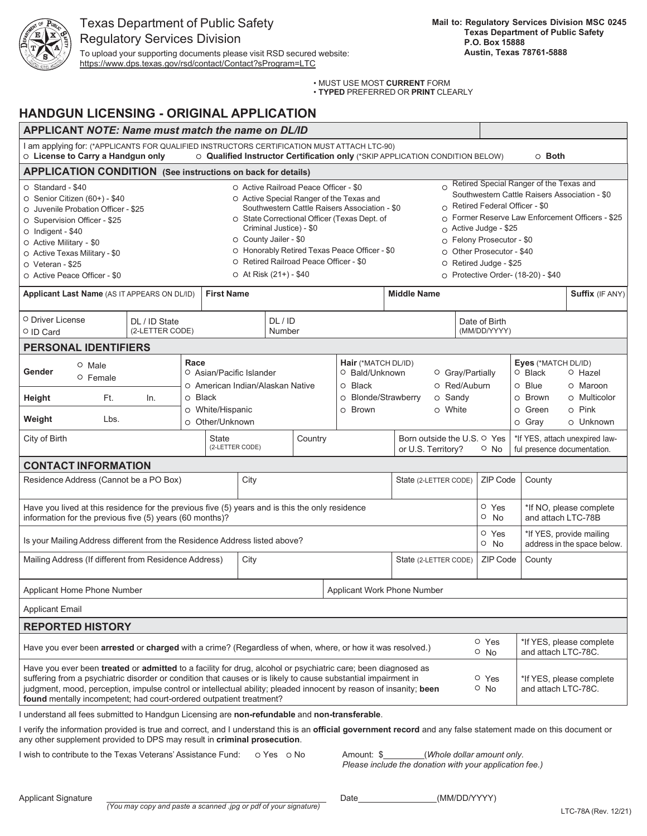

https://www.dps.texas.gov/rsd/contact/Contact?sProgram=LTC

• MUST USE MOST **CURRENT** FORM

• **TYPED** PREFERRED OR **PRINT** CLEARLY

# **HANDGUN LICENSING - ORIGINAL APPLICATION**

| <b>APPLICANT NOTE: Name must match the name on DL/ID</b>                                                                                                                                                                                                                                                                                                                                                                                                                                              |                 |                                                                      |                                                                                                                                                                                                                                                                                                                                                                         |  |  |                                                                                                          |                     |                                                         |                                                      |                                                                                                                                                                                                                                                                                                                                          |                           |  |
|-------------------------------------------------------------------------------------------------------------------------------------------------------------------------------------------------------------------------------------------------------------------------------------------------------------------------------------------------------------------------------------------------------------------------------------------------------------------------------------------------------|-----------------|----------------------------------------------------------------------|-------------------------------------------------------------------------------------------------------------------------------------------------------------------------------------------------------------------------------------------------------------------------------------------------------------------------------------------------------------------------|--|--|----------------------------------------------------------------------------------------------------------|---------------------|---------------------------------------------------------|------------------------------------------------------|------------------------------------------------------------------------------------------------------------------------------------------------------------------------------------------------------------------------------------------------------------------------------------------------------------------------------------------|---------------------------|--|
| I am applying for: (*APPLICANTS FOR QUALIFIED INSTRUCTORS CERTIFICATION MUST ATTACH LTC-90)<br>O License to Carry a Handgun only<br>O Qualified Instructor Certification only (*SKIP APPLICATION CONDITION BELOW)                                                                                                                                                                                                                                                                                     |                 |                                                                      |                                                                                                                                                                                                                                                                                                                                                                         |  |  |                                                                                                          |                     | $\circ$ Both                                            |                                                      |                                                                                                                                                                                                                                                                                                                                          |                           |  |
| <b>APPLICATION CONDITION</b> (See instructions on back for details)                                                                                                                                                                                                                                                                                                                                                                                                                                   |                 |                                                                      |                                                                                                                                                                                                                                                                                                                                                                         |  |  |                                                                                                          |                     |                                                         |                                                      |                                                                                                                                                                                                                                                                                                                                          |                           |  |
| $\circ$ Standard - \$40<br>O Senior Citizen (60+) - \$40<br>O Juvenile Probation Officer - \$25<br>○ Supervision Officer - \$25<br>$\circ$ Indigent - \$40<br>O Active Military - \$0<br>O Active Texas Military - \$0<br>O Veteran - \$25<br>O Active Peace Officer - \$0                                                                                                                                                                                                                            |                 |                                                                      | $\Omega$<br>O Active Railroad Peace Officer - \$0<br>O Active Special Ranger of the Texas and<br>Southwestern Cattle Raisers Association - \$0<br>O State Correctional Officer (Texas Dept. of<br>Criminal Justice) - \$0<br>○ County Jailer - \$0<br>O Honorably Retired Texas Peace Officer - \$0<br>O Retired Railroad Peace Officer - \$0<br>O At Risk (21+) - \$40 |  |  |                                                                                                          |                     |                                                         |                                                      | Retired Special Ranger of the Texas and<br>Southwestern Cattle Raisers Association - \$0<br>$\circ$ Retired Federal Officer - \$0<br>O Former Reserve Law Enforcement Officers - \$25<br>O Active Judge - \$25<br>O Felony Prosecutor - \$0<br>O Other Prosecutor - \$40<br>O Retired Judge - \$25<br>O Protective Order- (18-20) - \$40 |                           |  |
| Applicant Last Name (AS IT APPEARS ON DL/ID)                                                                                                                                                                                                                                                                                                                                                                                                                                                          |                 | <b>First Name</b>                                                    |                                                                                                                                                                                                                                                                                                                                                                         |  |  | <b>Middle Name</b>                                                                                       |                     |                                                         |                                                      | Suffix (IF ANY)                                                                                                                                                                                                                                                                                                                          |                           |  |
| O Driver License<br>O ID Card                                                                                                                                                                                                                                                                                                                                                                                                                                                                         | (2-LETTER CODE) | DL/ID<br>Number                                                      |                                                                                                                                                                                                                                                                                                                                                                         |  |  |                                                                                                          |                     | Date of Birth<br>(MM/DD/YYYY)                           |                                                      |                                                                                                                                                                                                                                                                                                                                          |                           |  |
| <b>PERSONAL IDENTIFIERS</b>                                                                                                                                                                                                                                                                                                                                                                                                                                                                           |                 |                                                                      |                                                                                                                                                                                                                                                                                                                                                                         |  |  |                                                                                                          |                     |                                                         |                                                      |                                                                                                                                                                                                                                                                                                                                          |                           |  |
| $\circ$ Male<br>Gender<br>$\circ$ Female                                                                                                                                                                                                                                                                                                                                                                                                                                                              |                 | Race<br>○ Asian/Pacific Islander<br>○ American Indian/Alaskan Native |                                                                                                                                                                                                                                                                                                                                                                         |  |  | Hair (*MATCH DL/ID)<br>O Bald/Unknown<br><sup>O</sup> Gray/Partially<br>Black<br>O Red/Auburn<br>$\circ$ |                     |                                                         | Eyes (*MATCH DL/ID)<br>$\circ$ Black<br>$\circ$ Blue | $\circ$ Hazel<br>○ Maroon                                                                                                                                                                                                                                                                                                                |                           |  |
| Ft.<br>Height                                                                                                                                                                                                                                                                                                                                                                                                                                                                                         | O Black<br>In.  |                                                                      |                                                                                                                                                                                                                                                                                                                                                                         |  |  | <b>Blonde/Strawberry</b><br>o Sandy<br>$\circ$                                                           |                     |                                                         |                                                      | O Brown                                                                                                                                                                                                                                                                                                                                  | O Multicolor              |  |
| Weight<br>Lbs.                                                                                                                                                                                                                                                                                                                                                                                                                                                                                        |                 | O White/Hispanic<br>O Other/Unknown                                  |                                                                                                                                                                                                                                                                                                                                                                         |  |  | O Brown<br>○ White                                                                                       |                     |                                                         |                                                      | ○ Green<br>o Gray                                                                                                                                                                                                                                                                                                                        | $\circ$ Pink<br>O Unknown |  |
| City of Birth                                                                                                                                                                                                                                                                                                                                                                                                                                                                                         |                 |                                                                      | State<br>Country<br>(2-LETTER CODE)                                                                                                                                                                                                                                                                                                                                     |  |  | Born outside the U.S. <sup>O</sup> Yes<br>or U.S. Territory?                                             |                     | $\circ$ No                                              | ful presence documentation.                          | *If YES, attach unexpired law-                                                                                                                                                                                                                                                                                                           |                           |  |
| <b>CONTACT INFORMATION</b>                                                                                                                                                                                                                                                                                                                                                                                                                                                                            |                 |                                                                      |                                                                                                                                                                                                                                                                                                                                                                         |  |  |                                                                                                          |                     |                                                         |                                                      |                                                                                                                                                                                                                                                                                                                                          |                           |  |
| Residence Address (Cannot be a PO Box)                                                                                                                                                                                                                                                                                                                                                                                                                                                                |                 |                                                                      | City                                                                                                                                                                                                                                                                                                                                                                    |  |  | State (2-LETTER CODE)                                                                                    |                     | ZIP Code                                                | County                                               |                                                                                                                                                                                                                                                                                                                                          |                           |  |
| Have you lived at this residence for the previous five (5) years and is this the only residence<br>information for the previous five (5) years (60 months)?                                                                                                                                                                                                                                                                                                                                           |                 |                                                                      |                                                                                                                                                                                                                                                                                                                                                                         |  |  |                                                                                                          |                     | O Yes<br>$\circ$ No                                     | *If NO, please complete<br>and attach LTC-78B        |                                                                                                                                                                                                                                                                                                                                          |                           |  |
| Is your Mailing Address different from the Residence Address listed above?                                                                                                                                                                                                                                                                                                                                                                                                                            |                 |                                                                      |                                                                                                                                                                                                                                                                                                                                                                         |  |  |                                                                                                          | O Yes<br>$\circ$ No | *If YES, provide mailing<br>address in the space below. |                                                      |                                                                                                                                                                                                                                                                                                                                          |                           |  |
| Mailing Address (If different from Residence Address)                                                                                                                                                                                                                                                                                                                                                                                                                                                 |                 | City                                                                 |                                                                                                                                                                                                                                                                                                                                                                         |  |  | State (2-LETTER CODE)                                                                                    |                     | ZIP Code                                                | County                                               |                                                                                                                                                                                                                                                                                                                                          |                           |  |
| Applicant Home Phone Number<br>Applicant Work Phone Number                                                                                                                                                                                                                                                                                                                                                                                                                                            |                 |                                                                      |                                                                                                                                                                                                                                                                                                                                                                         |  |  |                                                                                                          |                     |                                                         |                                                      |                                                                                                                                                                                                                                                                                                                                          |                           |  |
| <b>Applicant Email</b>                                                                                                                                                                                                                                                                                                                                                                                                                                                                                |                 |                                                                      |                                                                                                                                                                                                                                                                                                                                                                         |  |  |                                                                                                          |                     |                                                         |                                                      |                                                                                                                                                                                                                                                                                                                                          |                           |  |
| <b>REPORTED HISTORY</b>                                                                                                                                                                                                                                                                                                                                                                                                                                                                               |                 |                                                                      |                                                                                                                                                                                                                                                                                                                                                                         |  |  |                                                                                                          |                     |                                                         |                                                      |                                                                                                                                                                                                                                                                                                                                          |                           |  |
| Have you ever been arrested or charged with a crime? (Regardless of when, where, or how it was resolved.)                                                                                                                                                                                                                                                                                                                                                                                             |                 |                                                                      |                                                                                                                                                                                                                                                                                                                                                                         |  |  |                                                                                                          |                     |                                                         | O Yes<br>$\circ$ No                                  | *If YES, please complete<br>and attach LTC-78C.                                                                                                                                                                                                                                                                                          |                           |  |
| Have you ever been treated or admitted to a facility for drug, alcohol or psychiatric care; been diagnosed as<br>suffering from a psychiatric disorder or condition that causes or is likely to cause substantial impairment in<br>O Yes<br>*If YES, please complete<br>judgment, mood, perception, impulse control or intellectual ability; pleaded innocent by reason of insanity; been<br>$\circ$ No<br>and attach LTC-78C.<br>found mentally incompetent; had court-ordered outpatient treatment? |                 |                                                                      |                                                                                                                                                                                                                                                                                                                                                                         |  |  |                                                                                                          |                     |                                                         |                                                      |                                                                                                                                                                                                                                                                                                                                          |                           |  |
| I understand all fees submitted to Handgun Licensing are non-refundable and non-transferable.                                                                                                                                                                                                                                                                                                                                                                                                         |                 |                                                                      |                                                                                                                                                                                                                                                                                                                                                                         |  |  |                                                                                                          |                     |                                                         |                                                      |                                                                                                                                                                                                                                                                                                                                          |                           |  |

I verify the information provided is true and correct, and I understand this is an **official government record** and any false statement made on this document or any other supplement provided to DPS may result in **criminal prosecution**.

I wish to contribute to the Texas Veterans' Assistance Fund:  $\circ$  Yes  $\circ$  No Amount: \$ *(Whole dollar amount only.* 

*Please include the donation with your application fee.)*

Applicant Signature Date (MM/DD/YYYY)